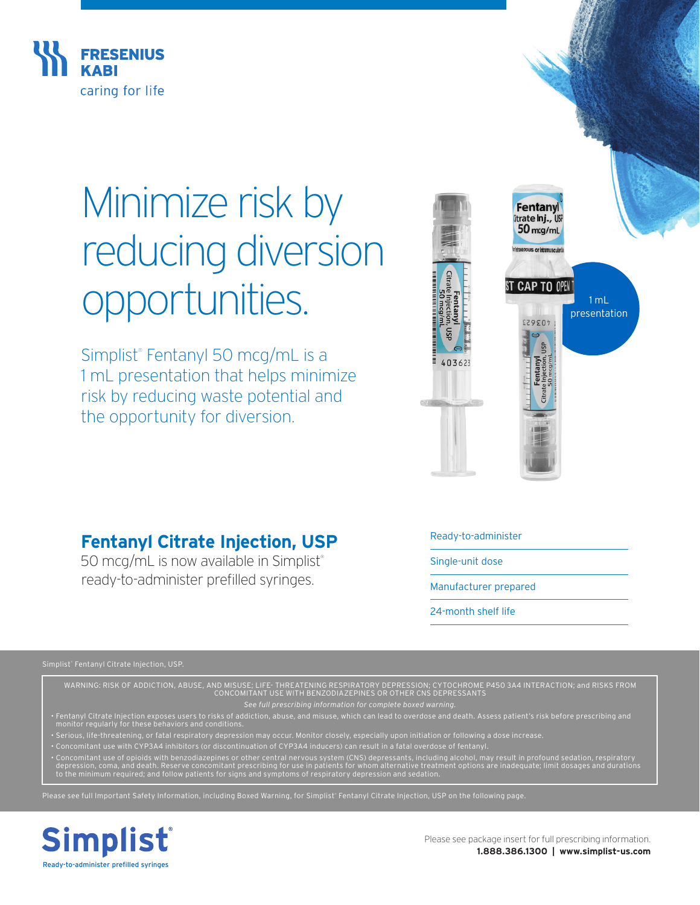

# Minimize risk by reducing diversion opportunities.

Simplist® Fentanyl 50 mcg/mL is a 1 mL presentation that helps minimize risk by reducing waste potential and the opportunity for diversion.



## **Fentanyl Citrate Injection, USP**

50 mcg/mL is now available in Simplist® ready-to-administer prefilled syringes.

Ready-to-administer

Single-unit dose

Manufacturer prepared

24-month shelf life

WARNING: RISK OF ADDICTION, ABUSE, AND MISUSE; LIFE- THREATENING RESPIRATORY DEPRESSION; CYTOCHROME P450 3A4 INTERACTION; and RISKS FROM<br>CONCOMITANT USE WITH BENZODIAZEPINES OR OTHER CNS DEPRESSANTS

*See full prescribing information for complete boxed warning.*

- 
- Concomitant use with CYP3A4 inhibitors (or discontinuation of CYP3A4 inducers) can result in a fatal overdose of fentanyl.
- Concomitant use of opioids with benzodiazepines or other central nervous system (CNS) depressants, including alcohol, may result in profound sedation, respiratory<br>depression, coma, and death. Reserve concomitant prescrib

Please see full Important Safety Information, including Boxed Warning, for Simplist Fentanyl Citrate Injection, USP on the following page.



Please see package insert for full prescribing information. **1.888.386.1300 | www.simplist-us.com**